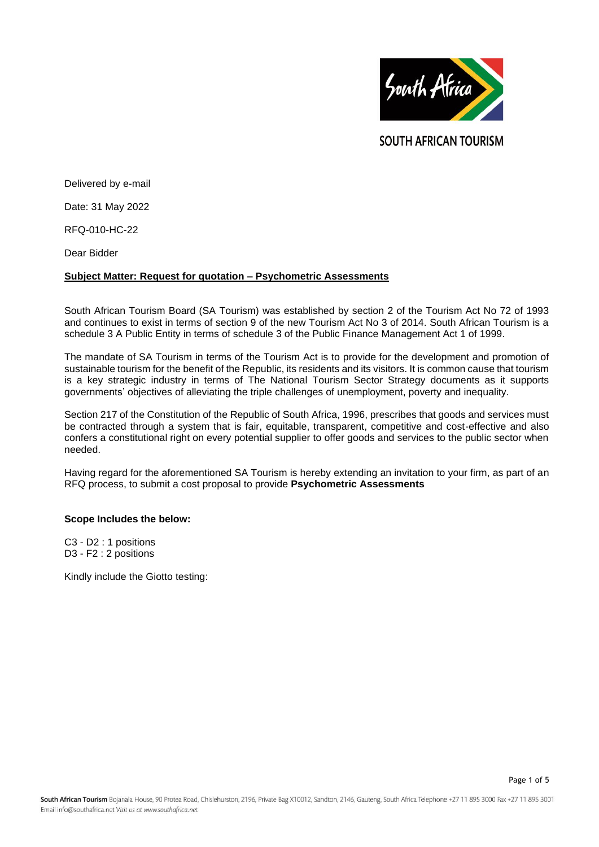

**SOUTH AFRICAN TOURISM** 

Delivered by e-mail

Date: 31 May 2022

RFQ-010-HC-22

Dear Bidder

## **Subject Matter: Request for quotation – Psychometric Assessments**

South African Tourism Board (SA Tourism) was established by section 2 of the Tourism Act No 72 of 1993 and continues to exist in terms of section 9 of the new Tourism Act No 3 of 2014. South African Tourism is a schedule 3 A Public Entity in terms of schedule 3 of the Public Finance Management Act 1 of 1999.

The mandate of SA Tourism in terms of the Tourism Act is to provide for the development and promotion of sustainable tourism for the benefit of the Republic, its residents and its visitors. It is common cause that tourism is a key strategic industry in terms of The National Tourism Sector Strategy documents as it supports governments' objectives of alleviating the triple challenges of unemployment, poverty and inequality.

Section 217 of the Constitution of the Republic of South Africa, 1996, prescribes that goods and services must be contracted through a system that is fair, equitable, transparent, competitive and cost-effective and also confers a constitutional right on every potential supplier to offer goods and services to the public sector when needed.

Having regard for the aforementioned SA Tourism is hereby extending an invitation to your firm, as part of an RFQ process, to submit a cost proposal to provide **Psychometric Assessments**

#### **Scope Includes the below:**

C3 - D2 : 1 positions D3 - F2 : 2 positions

Kindly include the Giotto testing: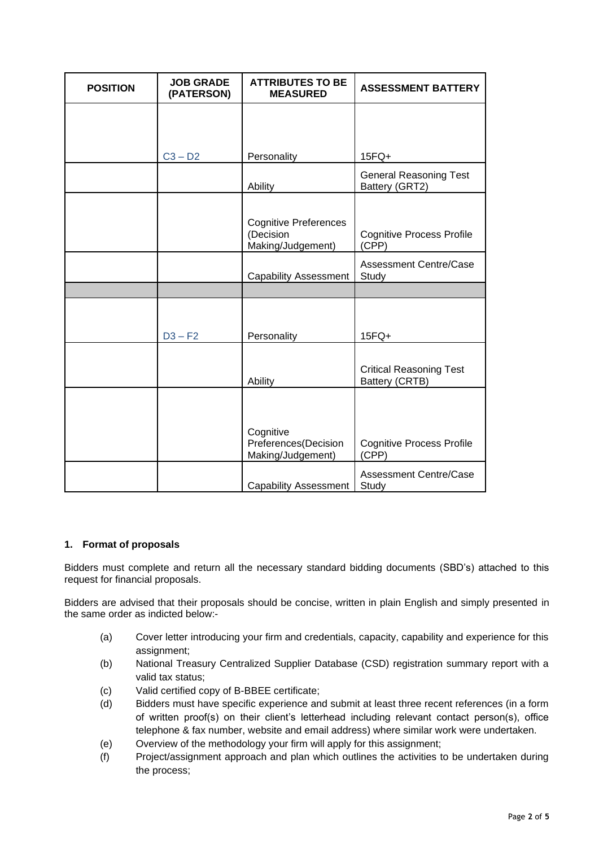| <b>POSITION</b> | <b>JOB GRADE</b><br>(PATERSON) | <b>ATTRIBUTES TO BE</b><br><b>MEASURED</b>                     | <b>ASSESSMENT BATTERY</b>                        |
|-----------------|--------------------------------|----------------------------------------------------------------|--------------------------------------------------|
|                 |                                |                                                                |                                                  |
|                 | $C3 - D2$                      | Personality                                                    | $15FQ+$                                          |
|                 |                                | Ability                                                        | <b>General Reasoning Test</b><br>Battery (GRT2)  |
|                 |                                | <b>Cognitive Preferences</b><br>(Decision<br>Making/Judgement) | <b>Cognitive Process Profile</b><br>(CPP)        |
|                 |                                | <b>Capability Assessment</b>                                   | <b>Assessment Centre/Case</b><br>Study           |
|                 |                                |                                                                |                                                  |
|                 | $D3 - F2$                      | Personality                                                    | $15FQ+$                                          |
|                 |                                | Ability                                                        | <b>Critical Reasoning Test</b><br>Battery (CRTB) |
|                 |                                | Cognitive<br>Preferences(Decision<br>Making/Judgement)         | <b>Cognitive Process Profile</b><br>(CPP)        |
|                 |                                |                                                                |                                                  |

# **1. Format of proposals**

Bidders must complete and return all the necessary standard bidding documents (SBD's) attached to this request for financial proposals.

Bidders are advised that their proposals should be concise, written in plain English and simply presented in the same order as indicted below:-

- (a) Cover letter introducing your firm and credentials, capacity, capability and experience for this assignment;
- (b) National Treasury Centralized Supplier Database (CSD) registration summary report with a valid tax status;
- (c) Valid certified copy of B-BBEE certificate;
- (d) Bidders must have specific experience and submit at least three recent references (in a form of written proof(s) on their client's letterhead including relevant contact person(s), office telephone & fax number, website and email address) where similar work were undertaken.
- (e) Overview of the methodology your firm will apply for this assignment;
- (f) Project/assignment approach and plan which outlines the activities to be undertaken during the process;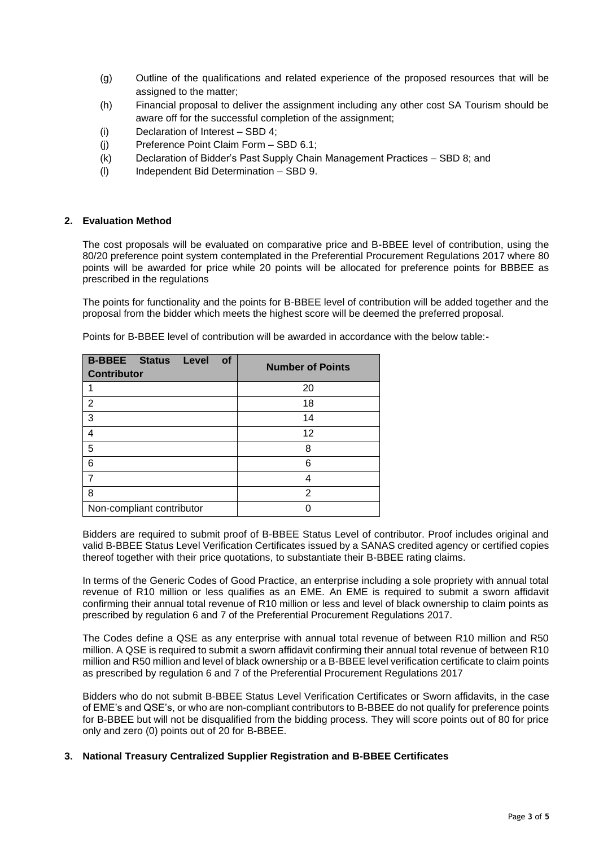- (g) Outline of the qualifications and related experience of the proposed resources that will be assigned to the matter;
- (h) Financial proposal to deliver the assignment including any other cost SA Tourism should be aware off for the successful completion of the assignment;
- (i) Declaration of Interest SBD 4;
- (j) Preference Point Claim Form SBD 6.1;
- (k) Declaration of Bidder's Past Supply Chain Management Practices SBD 8; and
- (l) Independent Bid Determination SBD 9.

## **2. Evaluation Method**

The cost proposals will be evaluated on comparative price and B-BBEE level of contribution, using the 80/20 preference point system contemplated in the Preferential Procurement Regulations 2017 where 80 points will be awarded for price while 20 points will be allocated for preference points for BBBEE as prescribed in the regulations

The points for functionality and the points for B-BBEE level of contribution will be added together and the proposal from the bidder which meets the highest score will be deemed the preferred proposal.

| <b>B-BBEE Status Level</b><br><b>of</b><br><b>Contributor</b> | <b>Number of Points</b> |
|---------------------------------------------------------------|-------------------------|
|                                                               | 20                      |
| $\overline{2}$                                                | 18                      |
| 3                                                             | 14                      |
| 4                                                             | 12                      |
| 5                                                             | 8                       |
| 6                                                             | 6                       |
| 7                                                             |                         |
| 8                                                             | 2                       |
| Non-compliant contributor                                     |                         |

Points for B-BBEE level of contribution will be awarded in accordance with the below table:-

Bidders are required to submit proof of B-BBEE Status Level of contributor. Proof includes original and valid B-BBEE Status Level Verification Certificates issued by a SANAS credited agency or certified copies thereof together with their price quotations, to substantiate their B-BBEE rating claims.

In terms of the Generic Codes of Good Practice, an enterprise including a sole propriety with annual total revenue of R10 million or less qualifies as an EME. An EME is required to submit a sworn affidavit confirming their annual total revenue of R10 million or less and level of black ownership to claim points as prescribed by regulation 6 and 7 of the Preferential Procurement Regulations 2017.

The Codes define a QSE as any enterprise with annual total revenue of between R10 million and R50 million. A QSE is required to submit a sworn affidavit confirming their annual total revenue of between R10 million and R50 million and level of black ownership or a B-BBEE level verification certificate to claim points as prescribed by regulation 6 and 7 of the Preferential Procurement Regulations 2017

Bidders who do not submit B-BBEE Status Level Verification Certificates or Sworn affidavits, in the case of EME's and QSE's, or who are non-compliant contributors to B-BBEE do not qualify for preference points for B-BBEE but will not be disqualified from the bidding process. They will score points out of 80 for price only and zero (0) points out of 20 for B-BBEE.

# **3. National Treasury Centralized Supplier Registration and B-BBEE Certificates**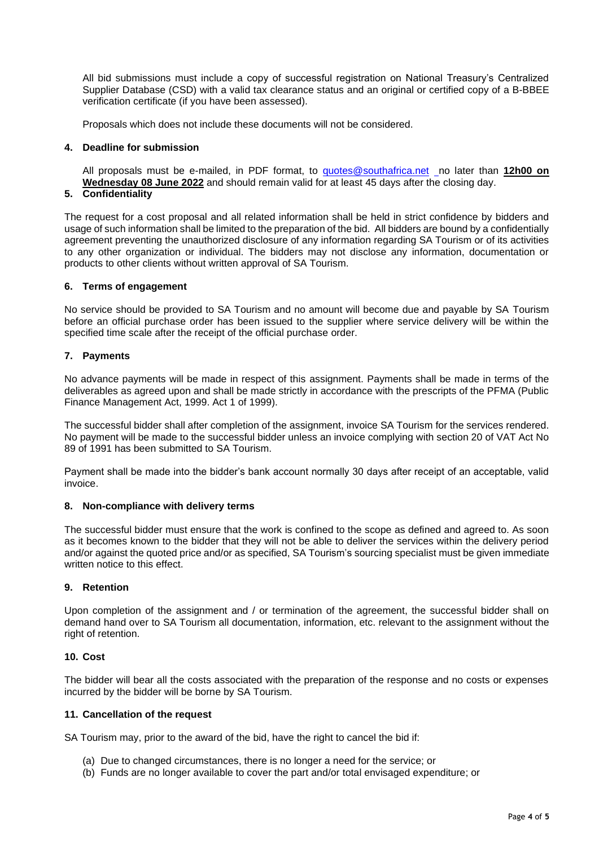All bid submissions must include a copy of successful registration on National Treasury's Centralized Supplier Database (CSD) with a valid tax clearance status and an original or certified copy of a B-BBEE verification certificate (if you have been assessed).

Proposals which does not include these documents will not be considered.

## **4. Deadline for submission**

All proposals must be e-mailed, in PDF format, to [quotes@southafrica.net](mailto:sizakele@southafrica.net) no later than **12h00 on Wednesday 08 June 2022** and should remain valid for at least 45 days after the closing day.

# **5. Confidentiality**

The request for a cost proposal and all related information shall be held in strict confidence by bidders and usage of such information shall be limited to the preparation of the bid. All bidders are bound by a confidentially agreement preventing the unauthorized disclosure of any information regarding SA Tourism or of its activities to any other organization or individual. The bidders may not disclose any information, documentation or products to other clients without written approval of SA Tourism.

## **6. Terms of engagement**

No service should be provided to SA Tourism and no amount will become due and payable by SA Tourism before an official purchase order has been issued to the supplier where service delivery will be within the specified time scale after the receipt of the official purchase order.

# **7. Payments**

No advance payments will be made in respect of this assignment. Payments shall be made in terms of the deliverables as agreed upon and shall be made strictly in accordance with the prescripts of the PFMA (Public Finance Management Act, 1999. Act 1 of 1999).

The successful bidder shall after completion of the assignment, invoice SA Tourism for the services rendered. No payment will be made to the successful bidder unless an invoice complying with section 20 of VAT Act No 89 of 1991 has been submitted to SA Tourism.

Payment shall be made into the bidder's bank account normally 30 days after receipt of an acceptable, valid invoice.

#### **8. Non-compliance with delivery terms**

The successful bidder must ensure that the work is confined to the scope as defined and agreed to. As soon as it becomes known to the bidder that they will not be able to deliver the services within the delivery period and/or against the quoted price and/or as specified, SA Tourism's sourcing specialist must be given immediate written notice to this effect.

#### **9. Retention**

Upon completion of the assignment and / or termination of the agreement, the successful bidder shall on demand hand over to SA Tourism all documentation, information, etc. relevant to the assignment without the right of retention.

#### **10. Cost**

The bidder will bear all the costs associated with the preparation of the response and no costs or expenses incurred by the bidder will be borne by SA Tourism.

#### **11. Cancellation of the request**

SA Tourism may, prior to the award of the bid, have the right to cancel the bid if:

- (a) Due to changed circumstances, there is no longer a need for the service; or
- (b) Funds are no longer available to cover the part and/or total envisaged expenditure; or